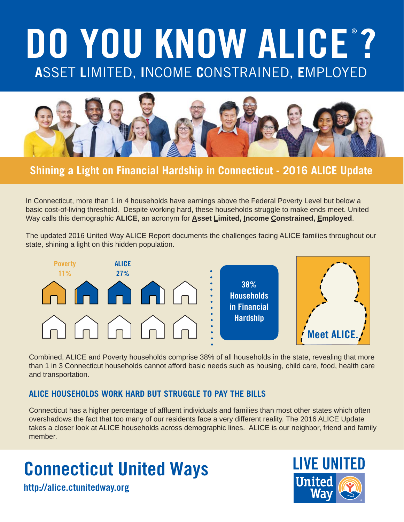# **A**SSET **L**IMITED, **I**NCOME **C**ONSTRAINED, **E**MPLOYED **DO YOU KNOW ALICE ?**



**Shining a Light on Financial Hardship in Connecticut - 2016 ALICE Update**

In Connecticut, more than 1 in 4 households have earnings above the Federal Poverty Level but below a basic cost-of-living threshold. Despite working hard, these households struggle to make ends meet. United Way calls this demographic **ALICE**, an acronym for **Asset Limited, Income Constrained, Employed**.

The updated 2016 United Way ALICE Report documents the challenges facing ALICE families throughout our state, shining a light on this hidden population.



Combined, ALICE and Poverty households comprise 38% of all households in the state, revealing that more than 1 in 3 Connecticut households cannot afford basic needs such as housing, child care, food, health care and transportation.

#### **ALICE HOUSEHOLDS WORK HARD BUT STRUGGLE TO PAY THE BILLS**

Connecticut has a higher percentage of affluent individuals and families than most other states which often overshadows the fact that too many of our residents face a very different reality. The 2016 ALICE Update takes a closer look at ALICE households across demographic lines. ALICE is our neighbor, friend and family member.

# **Connecticut United Ways**

**http://alice.ctunitedway.org**

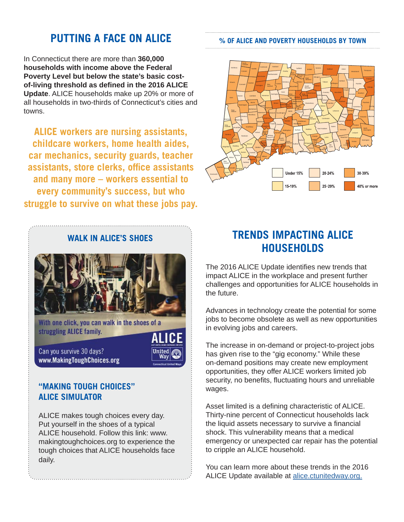### **PUTTING A FACE ON ALICE**

In Connecticut there are more than **360,000 households with income above the Federal Poverty Level but below the state's basic costof-living threshold as defi ned in the 2016 ALICE Update**. ALICE households make up 20% or more of all households in two-thirds of Connecticut's cities and towns.

**ALICE workers are nursing assistants, childcare workers, home health aides, car mechanics, security guards, teacher assistants, store clerks, office assistants and many more – workers essential to every community's success, but who struggle to survive on what these jobs pay.**



struggling ALICE family.

Can you survive 30 days? www.MakingToughChoices.org

#### **"MAKING TOUGH CHOICES" ALICE SIMULATOR**

ALICE makes tough choices every day. Put yourself in the shoes of a typical ALICE household. Follow this link: www. makingtoughchoices.org to experience the tough choices that ALICE households face daily.



## **TRENDS IMPACTING ALICE HOUSEHOLDS**

The 2016 ALICE Update identifies new trends that impact ALICE in the workplace and present further challenges and opportunities for ALICE households in the future.

Advances in technology create the potential for some jobs to become obsolete as well as new opportunities in evolving jobs and careers.

The increase in on-demand or project-to-project jobs has given rise to the "gig economy." While these on-demand positions may create new employment opportunities, they offer ALICE workers limited job security, no benefits, fluctuating hours and unreliable wages.

Asset limited is a defining characteristic of ALICE. Thirty-nine percent of Connecticut households lack the liquid assets necessary to survive a financial shock. This vulnerability means that a medical emergency or unexpected car repair has the potential to cripple an ALICE household.

You can learn more about these trends in the 2016 ALICE Update available at alice.ctunitedway.org.

#### **% OF ALICE AND POVERTY HOUSEHOLDS BY TOWN**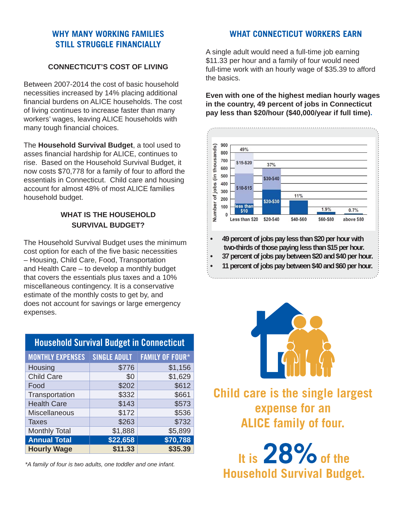#### **WHY MANY WORKING FAMILIES STILL STRUGGLE FINANCIALLY**

#### **CONNECTICUT'S COST OF LIVING**

Between 2007-2014 the cost of basic household necessities increased by 14% placing additional financial burdens on ALICE households. The cost of living continues to increase faster than many workers' wages, leaving ALICE households with many tough financial choices.

The **Household Survival Budget**, a tool used to asses financial hardship for ALICE, continues to rise. Based on the Household Survival Budget, it now costs \$70,778 for a family of four to afford the essentials in Connecticut. Child care and housing account for almost 48% of most ALICE families household budget.

#### **WHAT IS THE HOUSEHOLD SURVIVAL BUDGET?**

The Household Survival Budget uses the minimum cost option for each of the five basic necessities – Housing, Child Care, Food, Transportation and Health Care – to develop a monthly budget that covers the essentials plus taxes and a 10% miscellaneous contingency. It is a conservative estimate of the monthly costs to get by, and does not account for savings or large emergency expenses.

| <b>Household Survival Budget in Connecticut</b> |                     |                        |
|-------------------------------------------------|---------------------|------------------------|
| <b>MONTHLY EXPENSES</b>                         | <b>SINGLE ADULT</b> | <b>FAMILY OF FOUR*</b> |
| Housing                                         | \$776               | \$1,156                |
| <b>Child Care</b>                               | \$0                 | \$1,629                |
| Food                                            | \$202               | \$612                  |
| Transportation                                  | \$332               | \$661                  |
| <b>Health Care</b>                              | \$143               | \$573                  |
| Miscellaneous                                   | \$172               | \$536                  |
| <b>Taxes</b>                                    | \$263               | \$732                  |
| <b>Monthly Total</b>                            | \$1,888             | \$5,899                |
| <b>Annual Total</b>                             | \$22,658            | \$70,788               |
| <b>Hourly Wage</b>                              | \$11.33             | \$35.39                |

*\*A family of four is two adults, one toddler and one infant.*

#### **WHAT CONNECTICUT WORKERS EARN**

A single adult would need a full-time job earning \$11.33 per hour and a family of four would need full-time work with an hourly wage of \$35.39 to afford the basics.

**Even with one of the highest median hourly wages in the country, 49 percent of jobs in Connecticut pay less than \$20/hour (\$40,000/year if full time).** 





**Child care is the single largest expense for an ALICE family of four.** 

It is 28% of the **Household Survival Budget.**